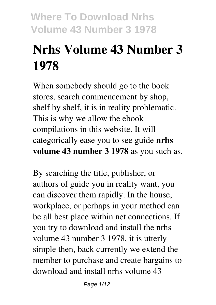# **Nrhs Volume 43 Number 3 1978**

When somebody should go to the book stores, search commencement by shop, shelf by shelf, it is in reality problematic. This is why we allow the ebook compilations in this website. It will categorically ease you to see guide **nrhs volume 43 number 3 1978** as you such as.

By searching the title, publisher, or authors of guide you in reality want, you can discover them rapidly. In the house, workplace, or perhaps in your method can be all best place within net connections. If you try to download and install the nrhs volume 43 number 3 1978, it is utterly simple then, back currently we extend the member to purchase and create bargains to download and install nrhs volume 43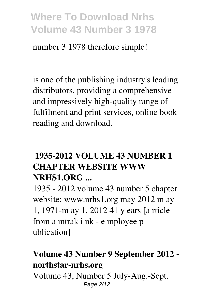number 3 1978 therefore simple!

is one of the publishing industry's leading distributors, providing a comprehensive and impressively high-quality range of fulfilment and print services, online book reading and download.

### **1935-2012 VOLUME 43 NUMBER 1 CHAPTER WEBSITE WWW NRHS1.ORG ...**

1935 - 2012 volume 43 number 5 chapter website: www.nrhs1.org may 2012 m ay 1, 1971-m ay 1, 2012 41 y ears [a rticle from a mtrak i nk - e mployee p ublication]

### **Volume 43 Number 9 September 2012 northstar-nrhs.org**

Volume 43, Number 5 July-Aug.-Sept. Page 2/12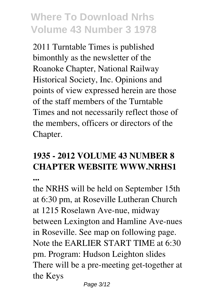2011 Turntable Times is published bimonthly as the newsletter of the Roanoke Chapter, National Railway Historical Society, Inc. Opinions and points of view expressed herein are those of the staff members of the Turntable Times and not necessarily reflect those of the members, officers or directors of the Chapter.

#### **1935 - 2012 VOLUME 43 NUMBER 8 CHAPTER WEBSITE WWW.NRHS1 ...**

the NRHS will be held on September 15th at 6:30 pm, at Roseville Lutheran Church at 1215 Roselawn Ave-nue, midway between Lexington and Hamline Ave-nues in Roseville. See map on following page. Note the EARLIER START TIME at 6:30 pm. Program: Hudson Leighton slides There will be a pre-meeting get-together at the Keys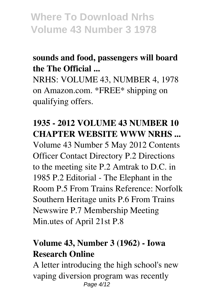## **sounds and food, passengers will board the The Official ...**

NRHS: VOLUME 43, NUMBER 4, 1978 on Amazon.com. \*FREE\* shipping on qualifying offers.

### **1935 - 2012 VOLUME 43 NUMBER 10 CHAPTER WEBSITE WWW NRHS ...**

Volume 43 Number 5 May 2012 Contents Officer Contact Directory P.2 Directions to the meeting site P.2 Amtrak to D.C. in 1985 P.2 Editorial - The Elephant in the Room P.5 From Trains Reference: Norfolk Southern Heritage units P.6 From Trains Newswire P.7 Membership Meeting Min.utes of April 21st P.8

### **Volume 43, Number 3 (1962) - Iowa Research Online**

A letter introducing the high school's new vaping diversion program was recently Page 4/12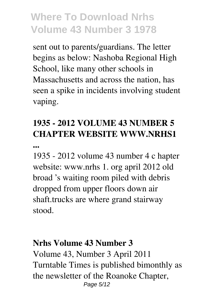sent out to parents/guardians. The letter begins as below: Nashoba Regional High School, like many other schools in Massachusetts and across the nation, has seen a spike in incidents involving student vaping.

# **1935 - 2012 VOLUME 43 NUMBER 5 CHAPTER WEBSITE WWW.NRHS1**

**...**

1935 - 2012 volume 43 number 4 c hapter website: www.nrhs 1. org april 2012 old broad 's waiting room piled with debris dropped from upper floors down air shaft.trucks are where grand stairway stood.

#### **Nrhs Volume 43 Number 3**

Volume 43, Number 3 April 2011 Turntable Times is published bimonthly as the newsletter of the Roanoke Chapter, Page 5/12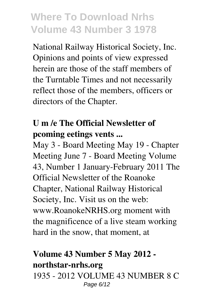National Railway Historical Society, Inc. Opinions and points of view expressed herein are those of the staff members of the Turntable Times and not necessarily reflect those of the members, officers or directors of the Chapter.

### **U m /e The Official Newsletter of pcoming eetings vents ...**

May 3 - Board Meeting May 19 - Chapter Meeting June 7 - Board Meeting Volume 43, Number 1 January-February 2011 The Official Newsletter of the Roanoke Chapter, National Railway Historical Society, Inc. Visit us on the web: www.RoanokeNRHS.org moment with the magnificence of a live steam working hard in the snow, that moment, at

### **Volume 43 Number 5 May 2012 northstar-nrhs.org**

1935 - 2012 VOLUME 43 NUMBER 8 C Page 6/12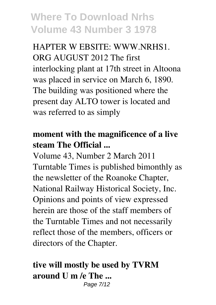HAPTER W EBSITE: WWW.NRHS1. ORG AUGUST 2012 The first interlocking plant at 17th street in Altoona was placed in service on March 6, 1890. The building was positioned where the present day ALTO tower is located and was referred to as simply

#### **moment with the magnificence of a live steam The Official ...**

Volume 43, Number 2 March 2011 Turntable Times is published bimonthly as the newsletter of the Roanoke Chapter, National Railway Historical Society, Inc. Opinions and points of view expressed herein are those of the staff members of the Turntable Times and not necessarily reflect those of the members, officers or directors of the Chapter.

# **tive will mostly be used by TVRM around U m /e The ...**

Page 7/12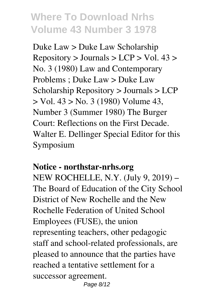Duke Law > Duke Law Scholarship  $Repository > Journals > LCP > Vol. 43 >$ No. 3 (1980) Law and Contemporary Problems ; Duke Law > Duke Law Scholarship Repository > Journals > LCP > Vol. 43 > No. 3 (1980) Volume 43, Number 3 (Summer 1980) The Burger Court: Reflections on the First Decade. Walter E. Dellinger Special Editor for this Symposium

#### **Notice - northstar-nrhs.org**

NEW ROCHELLE, N.Y. (July 9, 2019) – The Board of Education of the City School District of New Rochelle and the New Rochelle Federation of United School Employees (FUSE), the union representing teachers, other pedagogic staff and school-related professionals, are pleased to announce that the parties have reached a tentative settlement for a successor agreement. Page 8/12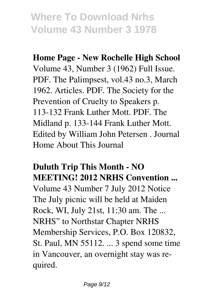#### **Home Page - New Rochelle High School**

Volume 43, Number 3 (1962) Full Issue. PDF. The Palimpsest, vol.43 no.3, March 1962. Articles. PDF. The Society for the Prevention of Cruelty to Speakers p. 113-132 Frank Luther Mott. PDF. The Midland p. 133-144 Frank Luther Mott. Edited by William John Petersen . Journal Home About This Journal

### **Duluth Trip This Month - NO MEETING! 2012 NRHS Convention ...**

Volume 43 Number 7 July 2012 Notice The July picnic will be held at Maiden Rock, WI, July 21st, 11:30 am. The ... NRHS" to Northstar Chapter NRHS Membership Services, P.O. Box 120832, St. Paul, MN 55112. ... 3 spend some time in Vancouver, an overnight stay was required.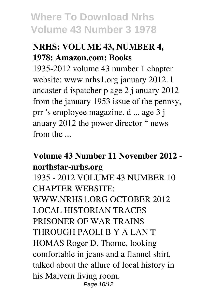## **NRHS: VOLUME 43, NUMBER 4, 1978: Amazon.com: Books**

1935-2012 volume 43 number 1 chapter website: www.nrhs1.org january 2012. l ancaster d ispatcher p age 2 j anuary 2012 from the january 1953 issue of the pennsy, prr 's employee magazine. d ... age 3 j anuary 2012 the power director " news from the ...

### **Volume 43 Number 11 November 2012 northstar-nrhs.org**

1935 - 2012 VOLUME 43 NUMBER 10 CHAPTER WEBSITE: WWW.NRHS1.ORG OCTOBER 2012 LOCAL HISTORIAN TRACES PRISONER OF WAR TRAINS THROUGH PAOLI B Y A LAN T HOMAS Roger D. Thorne, looking comfortable in jeans and a flannel shirt, talked about the allure of local history in his Malvern living room. Page 10/12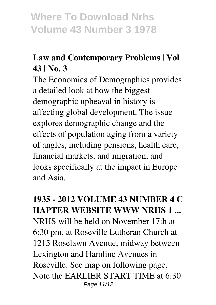# **Law and Contemporary Problems | Vol 43 | No. 3**

The Economics of Demographics provides a detailed look at how the biggest demographic upheaval in history is affecting global development. The issue explores demographic change and the effects of population aging from a variety of angles, including pensions, health care, financial markets, and migration, and looks specifically at the impact in Europe and Asia.

### **1935 - 2012 VOLUME 43 NUMBER 4 C HAPTER WEBSITE WWW NRHS 1 ...** NRHS will be held on November 17th at 6:30 pm, at Roseville Lutheran Church at 1215 Roselawn Avenue, midway between Lexington and Hamline Avenues in Roseville. See map on following page. Note the EARLIER START TIME at 6:30 Page 11/12